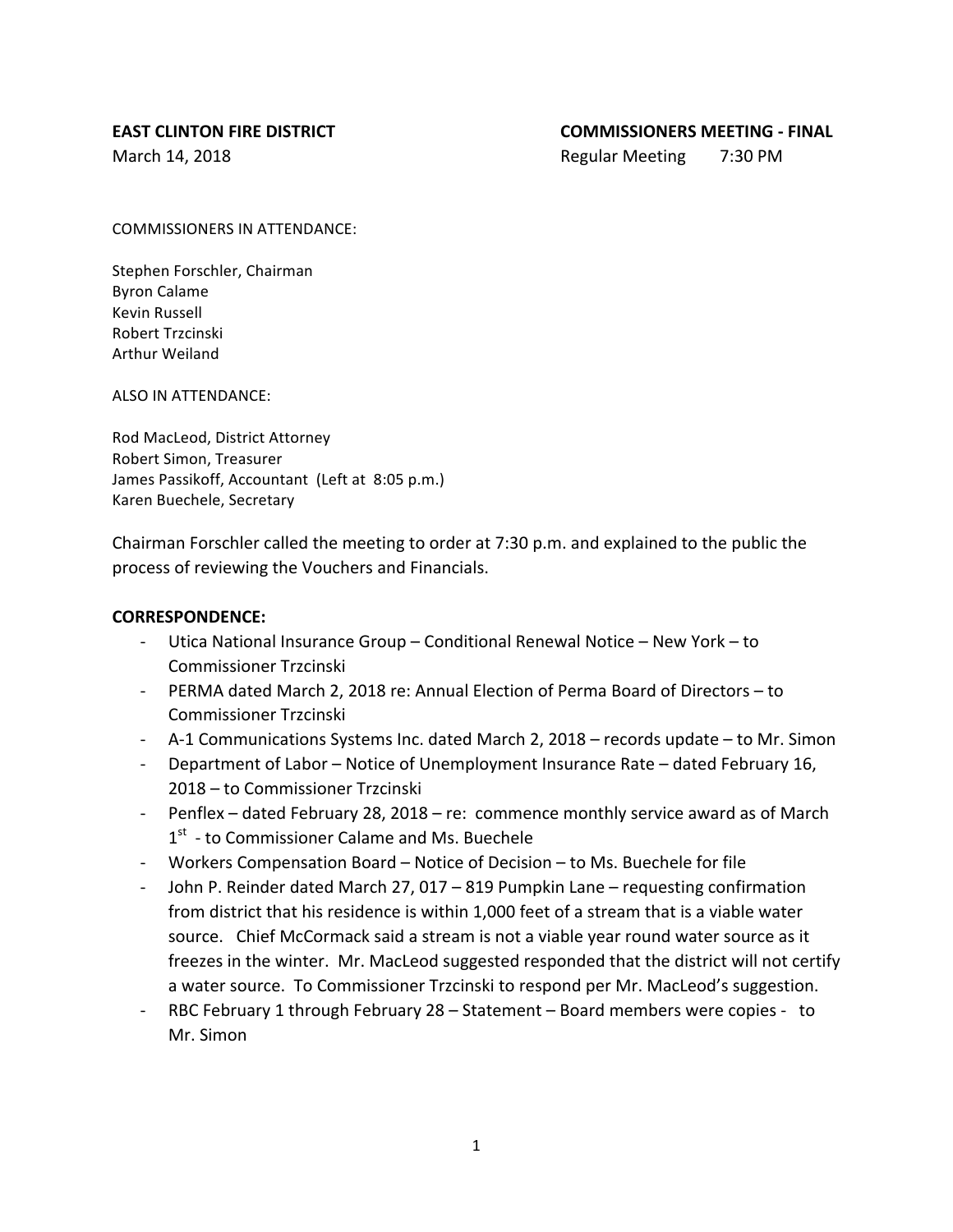March 14, 2018 **Regular Meeting** 7:30 PM

COMMISSIONERS IN ATTENDANCE:

Stephen Forschler, Chairman Byron Calame Kevin Russell Robert Trzcinski Arthur Weiland

ALSO IN ATTENDANCE:

Rod MacLeod, District Attorney Robert Simon, Treasurer James Passikoff, Accountant (Left at 8:05 p.m.) Karen Buechele, Secretary

Chairman Forschler called the meeting to order at 7:30 p.m. and explained to the public the process of reviewing the Vouchers and Financials.

### **CORRESPONDENCE:**

- Utica National Insurance Group Conditional Renewal Notice New York to Commissioner Trzcinski
- PERMA dated March 2, 2018 re: Annual Election of Perma Board of Directors to Commissioner Trzcinski
- A-1 Communications Systems Inc. dated March 2, 2018 records update to Mr. Simon
- Department of Labor Notice of Unemployment Insurance Rate dated February 16, 2018 – to Commissioner Trzcinski
- Penflex dated February 28, 2018 re: commence monthly service award as of March  $1<sup>st</sup>$  - to Commissioner Calame and Ms. Buechele
- Workers Compensation Board Notice of Decision to Ms. Buechele for file
- John P. Reinder dated March 27, 017 819 Pumpkin Lane requesting confirmation from district that his residence is within 1,000 feet of a stream that is a viable water source. Chief McCormack said a stream is not a viable year round water source as it freezes in the winter. Mr. MacLeod suggested responded that the district will not certify a water source. To Commissioner Trzcinski to respond per Mr. MacLeod's suggestion.
- RBC February 1 through February 28 Statement Board members were copies to Mr. Simon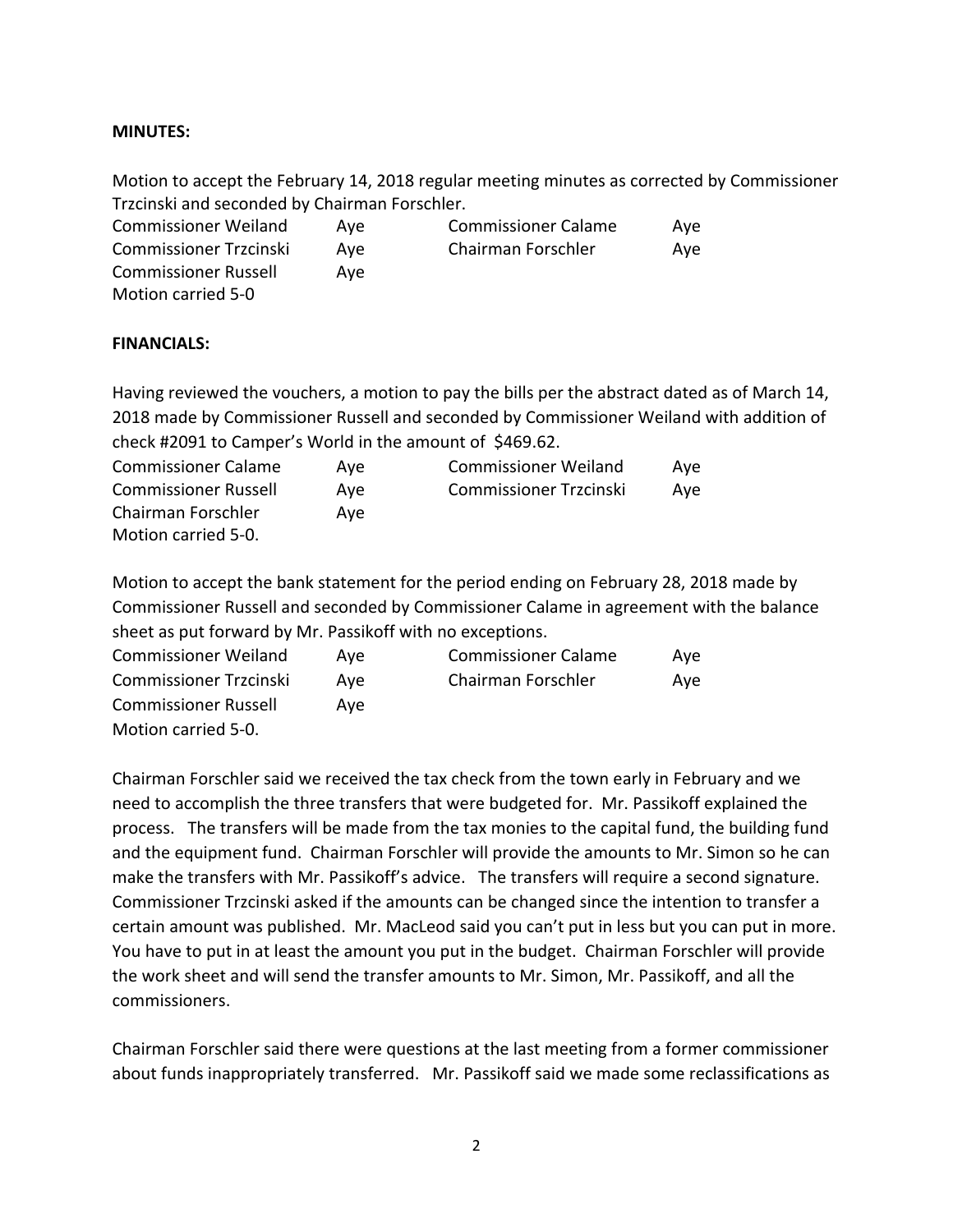### **MINUTES:**

Motion to accept the February 14, 2018 regular meeting minutes as corrected by Commissioner Trzcinski and seconded by Chairman Forschler.

| <b>Commissioner Weiland</b>   | Ave | <b>Commissioner Calame</b> | Ave |
|-------------------------------|-----|----------------------------|-----|
| <b>Commissioner Trzcinski</b> | Ave | Chairman Forschler         | Aye |
| <b>Commissioner Russell</b>   | Ave |                            |     |
| Motion carried 5-0            |     |                            |     |

#### **FINANCIALS:**

Having reviewed the vouchers, a motion to pay the bills per the abstract dated as of March 14, 2018 made by Commissioner Russell and seconded by Commissioner Weiland with addition of check  $\#2091$  to Camper's World in the amount of \$469.62.

| <b>Commissioner Calame</b>  | Ave | <b>Commissioner Weiland</b>   | Ave |
|-----------------------------|-----|-------------------------------|-----|
| <b>Commissioner Russell</b> | Ave | <b>Commissioner Trzcinski</b> | Ave |
| Chairman Forschler          | Ave |                               |     |
| Motion carried 5-0.         |     |                               |     |

Motion to accept the bank statement for the period ending on February 28, 2018 made by Commissioner Russell and seconded by Commissioner Calame in agreement with the balance sheet as put forward by Mr. Passikoff with no exceptions.

| <b>Commissioner Weiland</b>   | Ave | <b>Commissioner Calame</b> | Ave |
|-------------------------------|-----|----------------------------|-----|
| <b>Commissioner Trzcinski</b> | Ave | Chairman Forschler         | Ave |
| <b>Commissioner Russell</b>   | Ave |                            |     |
| Motion carried 5-0.           |     |                            |     |

Chairman Forschler said we received the tax check from the town early in February and we need to accomplish the three transfers that were budgeted for. Mr. Passikoff explained the process. The transfers will be made from the tax monies to the capital fund, the building fund and the equipment fund. Chairman Forschler will provide the amounts to Mr. Simon so he can make the transfers with Mr. Passikoff's advice. The transfers will require a second signature. Commissioner Trzcinski asked if the amounts can be changed since the intention to transfer a certain amount was published. Mr. MacLeod said you can't put in less but you can put in more. You have to put in at least the amount you put in the budget. Chairman Forschler will provide the work sheet and will send the transfer amounts to Mr. Simon, Mr. Passikoff, and all the commissioners. 

Chairman Forschler said there were questions at the last meeting from a former commissioner about funds inappropriately transferred. Mr. Passikoff said we made some reclassifications as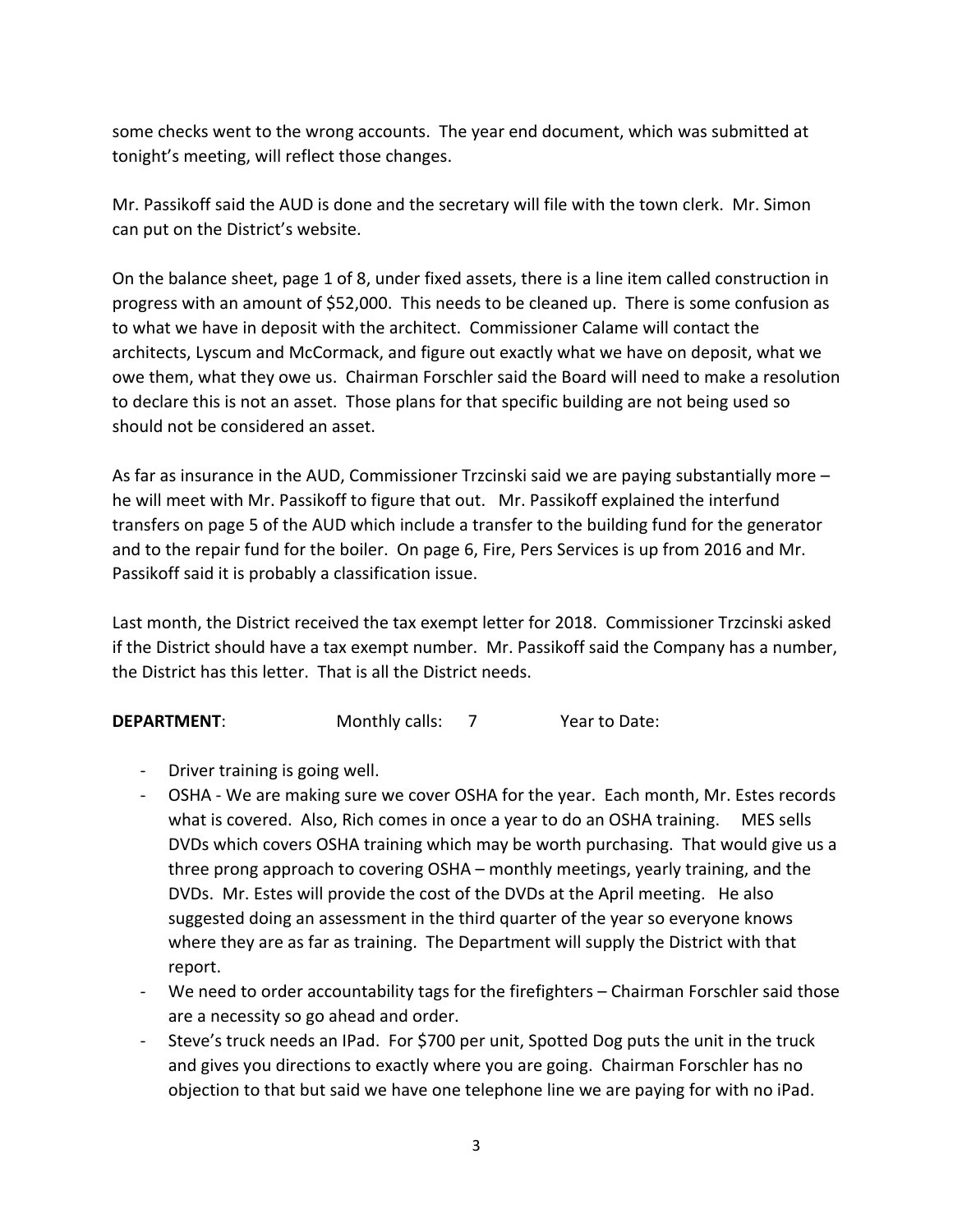some checks went to the wrong accounts. The year end document, which was submitted at tonight's meeting, will reflect those changes.

Mr. Passikoff said the AUD is done and the secretary will file with the town clerk. Mr. Simon can put on the District's website.

On the balance sheet, page 1 of 8, under fixed assets, there is a line item called construction in progress with an amount of \$52,000. This needs to be cleaned up. There is some confusion as to what we have in deposit with the architect. Commissioner Calame will contact the architects, Lyscum and McCormack, and figure out exactly what we have on deposit, what we owe them, what they owe us. Chairman Forschler said the Board will need to make a resolution to declare this is not an asset. Those plans for that specific building are not being used so should not be considered an asset.

As far as insurance in the AUD, Commissioner Trzcinski said we are paying substantially more  $$ he will meet with Mr. Passikoff to figure that out. Mr. Passikoff explained the interfund transfers on page 5 of the AUD which include a transfer to the building fund for the generator and to the repair fund for the boiler. On page 6, Fire, Pers Services is up from 2016 and Mr. Passikoff said it is probably a classification issue.

Last month, the District received the tax exempt letter for 2018. Commissioner Trzcinski asked if the District should have a tax exempt number. Mr. Passikoff said the Company has a number, the District has this letter. That is all the District needs.

**DEPARTMENT:** Monthly calls: 7 Year to Date:

- Driver training is going well.
- OSHA We are making sure we cover OSHA for the year. Each month, Mr. Estes records what is covered. Also, Rich comes in once a year to do an OSHA training. MES sells DVDs which covers OSHA training which may be worth purchasing. That would give us a three prong approach to covering OSHA – monthly meetings, yearly training, and the DVDs. Mr. Estes will provide the cost of the DVDs at the April meeting. He also suggested doing an assessment in the third quarter of the year so everyone knows where they are as far as training. The Department will supply the District with that report.
- We need to order accountability tags for the firefighters Chairman Forschler said those are a necessity so go ahead and order.
- Steve's truck needs an IPad. For \$700 per unit, Spotted Dog puts the unit in the truck and gives you directions to exactly where you are going. Chairman Forschler has no objection to that but said we have one telephone line we are paying for with no iPad.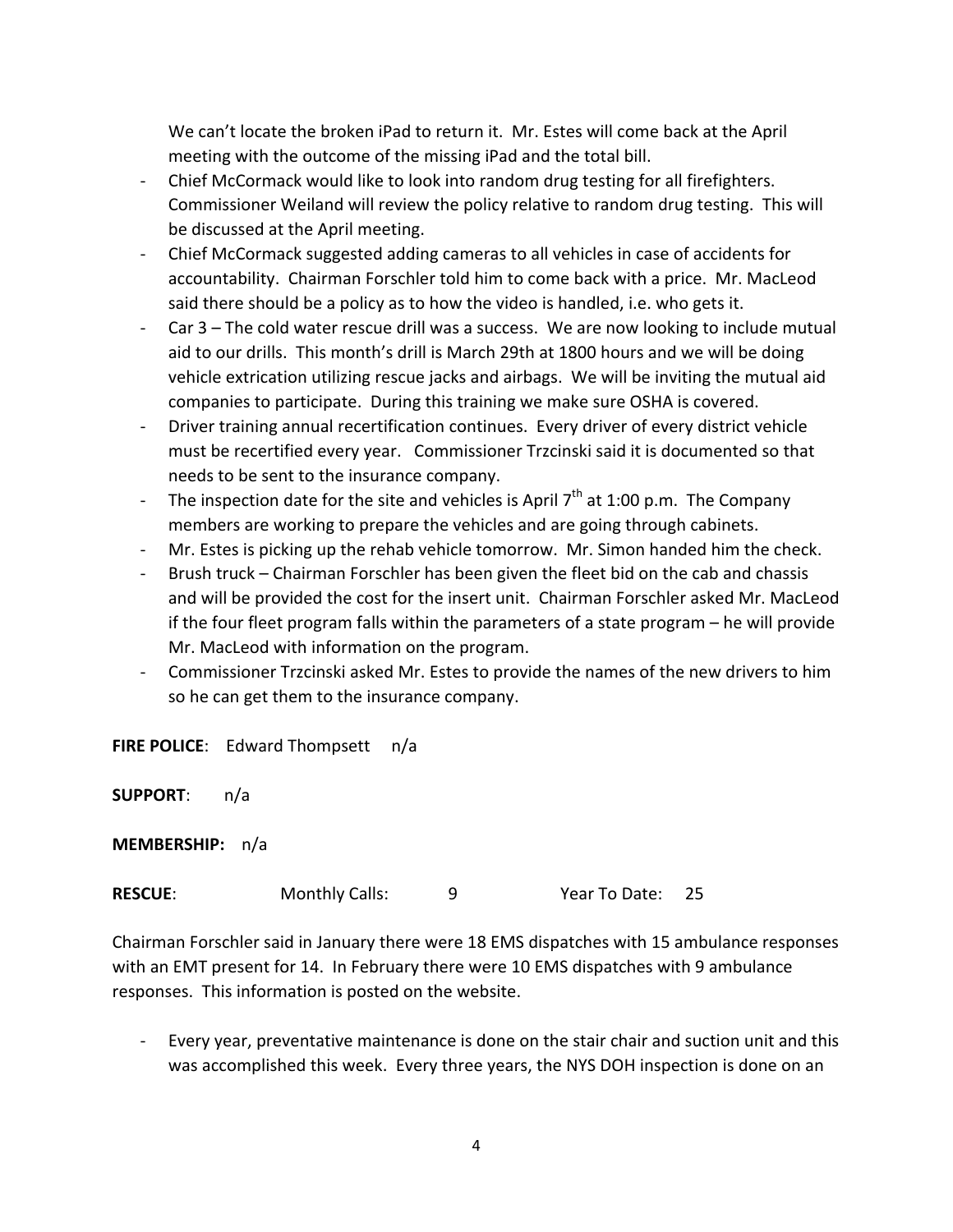We can't locate the broken iPad to return it. Mr. Estes will come back at the April meeting with the outcome of the missing iPad and the total bill.

- Chief McCormack would like to look into random drug testing for all firefighters. Commissioner Weiland will review the policy relative to random drug testing. This will be discussed at the April meeting.
- Chief McCormack suggested adding cameras to all vehicles in case of accidents for accountability. Chairman Forschler told him to come back with a price. Mr. MacLeod said there should be a policy as to how the video is handled, i.e. who gets it.
- Car 3 The cold water rescue drill was a success. We are now looking to include mutual aid to our drills. This month's drill is March 29th at 1800 hours and we will be doing vehicle extrication utilizing rescue jacks and airbags. We will be inviting the mutual aid companies to participate. During this training we make sure OSHA is covered.
- Driver training annual recertification continues. Every driver of every district vehicle must be recertified every year. Commissioner Trzcinski said it is documented so that needs to be sent to the insurance company.
- The inspection date for the site and vehicles is April  $7<sup>th</sup>$  at 1:00 p.m. The Company members are working to prepare the vehicles and are going through cabinets.
- Mr. Estes is picking up the rehab vehicle tomorrow. Mr. Simon handed him the check.
- Brush truck Chairman Forschler has been given the fleet bid on the cab and chassis and will be provided the cost for the insert unit. Chairman Forschler asked Mr. MacLeod if the four fleet program falls within the parameters of a state program  $-$  he will provide Mr. MacLeod with information on the program.
- Commissioner Trzcinski asked Mr. Estes to provide the names of the new drivers to him so he can get them to the insurance company.

**FIRE POLICE:** Edward Thompsett n/a

**SUPPORT**: n/a

**MEMBERSHIP:** n/a

**RESCUE:** Monthly Calls: 9 9 Year To Date: 25

Chairman Forschler said in January there were 18 EMS dispatches with 15 ambulance responses with an EMT present for 14. In February there were 10 EMS dispatches with 9 ambulance responses. This information is posted on the website.

Every year, preventative maintenance is done on the stair chair and suction unit and this was accomplished this week. Every three years, the NYS DOH inspection is done on an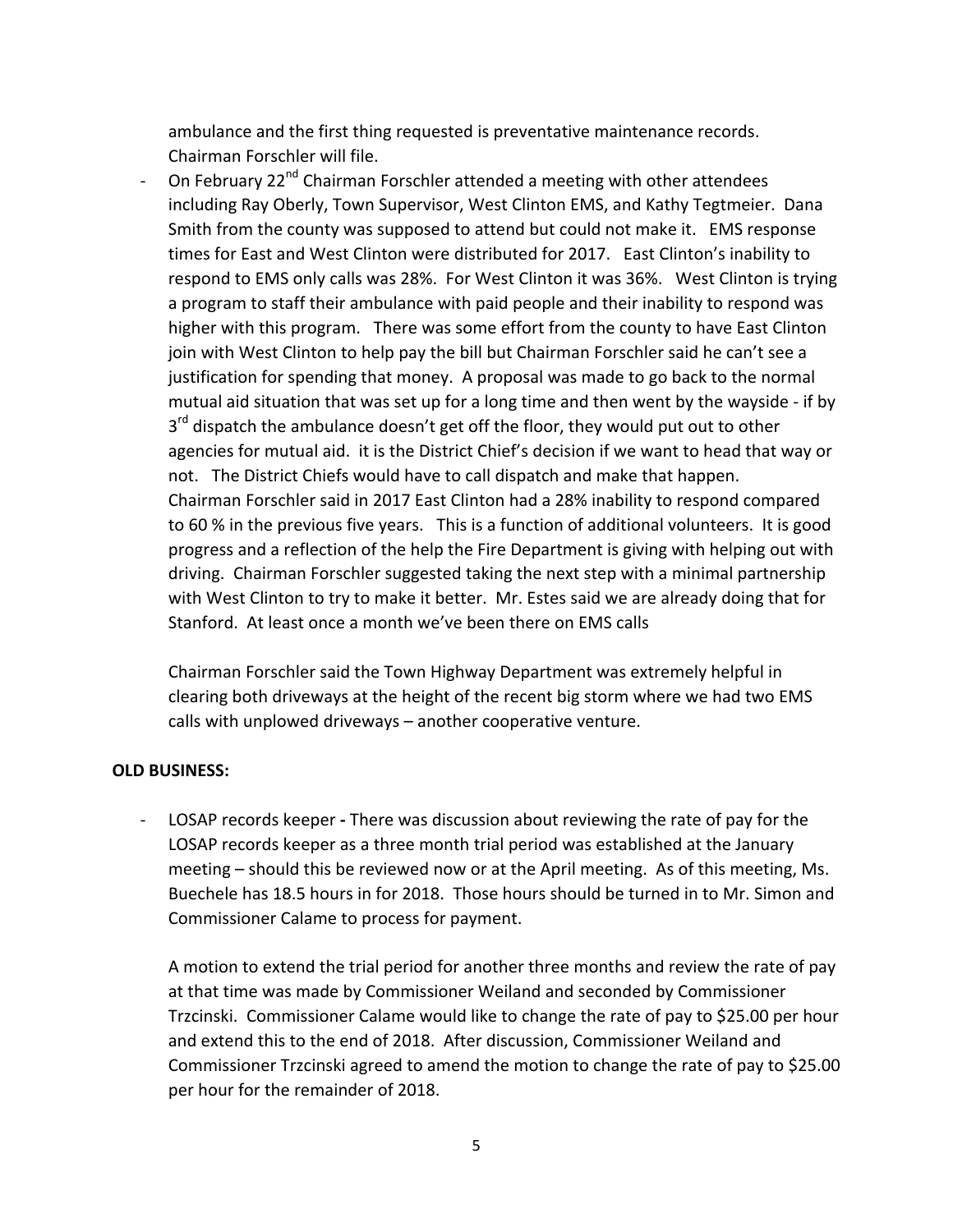ambulance and the first thing requested is preventative maintenance records. Chairman Forschler will file.

On February 22<sup>nd</sup> Chairman Forschler attended a meeting with other attendees including Ray Oberly, Town Supervisor, West Clinton EMS, and Kathy Tegtmeier. Dana Smith from the county was supposed to attend but could not make it. EMS response times for East and West Clinton were distributed for 2017. East Clinton's inability to respond to EMS only calls was 28%. For West Clinton it was 36%. West Clinton is trying a program to staff their ambulance with paid people and their inability to respond was higher with this program. There was some effort from the county to have East Clinton join with West Clinton to help pay the bill but Chairman Forschler said he can't see a justification for spending that money. A proposal was made to go back to the normal mutual aid situation that was set up for a long time and then went by the wayside - if by  $3<sup>rd</sup>$  dispatch the ambulance doesn't get off the floor, they would put out to other agencies for mutual aid. it is the District Chief's decision if we want to head that way or not. The District Chiefs would have to call dispatch and make that happen. Chairman Forschler said in 2017 East Clinton had a 28% inability to respond compared to 60 % in the previous five years. This is a function of additional volunteers. It is good progress and a reflection of the help the Fire Department is giving with helping out with driving. Chairman Forschler suggested taking the next step with a minimal partnership with West Clinton to try to make it better. Mr. Estes said we are already doing that for Stanford. At least once a month we've been there on EMS calls

Chairman Forschler said the Town Highway Department was extremely helpful in clearing both driveways at the height of the recent big storm where we had two EMS calls with unplowed driveways  $-$  another cooperative venture.

#### **OLD BUSINESS:**

LOSAP records keeper - There was discussion about reviewing the rate of pay for the LOSAP records keeper as a three month trial period was established at the January meeting  $-$  should this be reviewed now or at the April meeting. As of this meeting, Ms. Buechele has 18.5 hours in for 2018. Those hours should be turned in to Mr. Simon and Commissioner Calame to process for payment.

A motion to extend the trial period for another three months and review the rate of pay at that time was made by Commissioner Weiland and seconded by Commissioner Trzcinski. Commissioner Calame would like to change the rate of pay to \$25.00 per hour and extend this to the end of 2018. After discussion, Commissioner Weiland and Commissioner Trzcinski agreed to amend the motion to change the rate of pay to \$25.00 per hour for the remainder of 2018.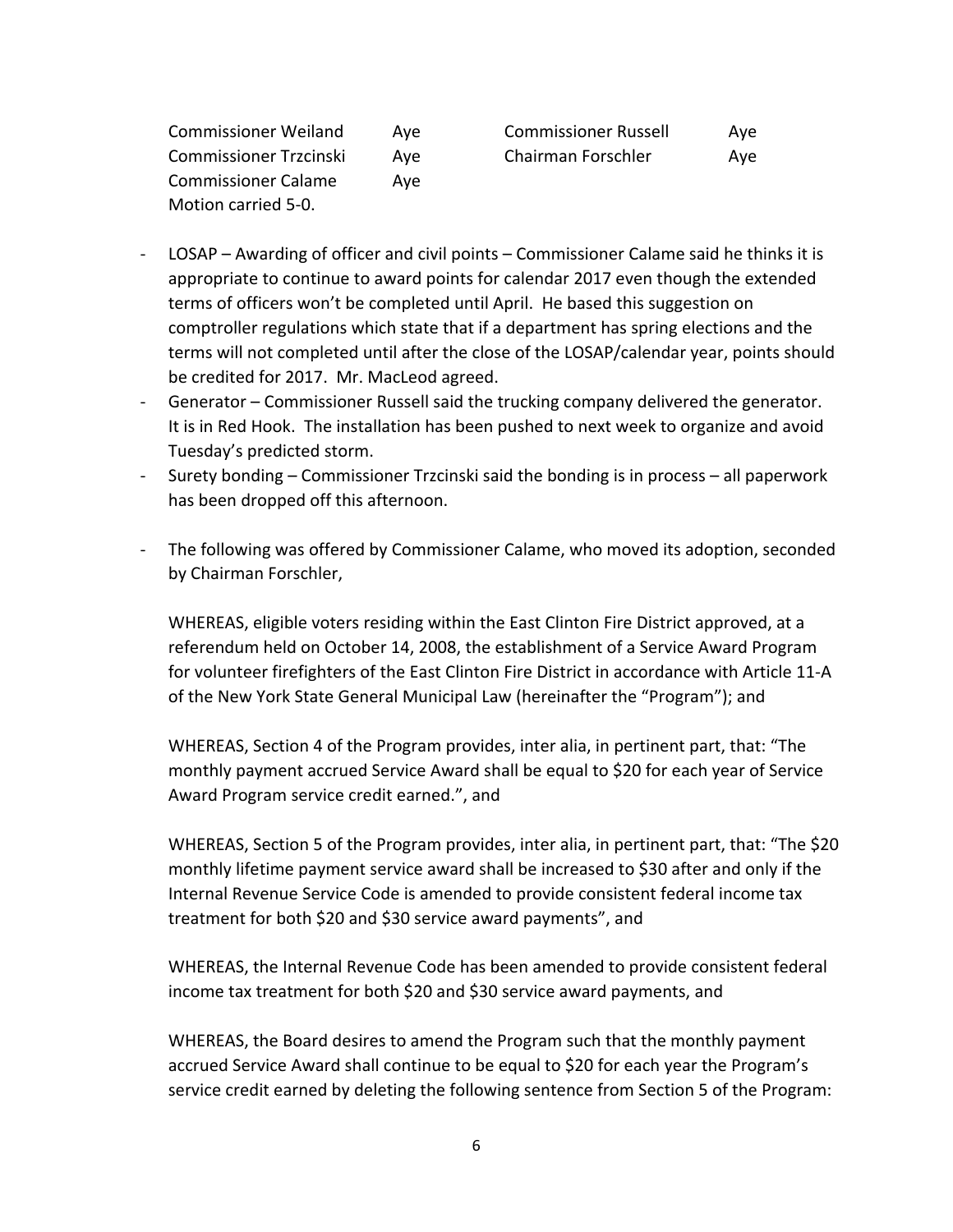| <b>Commissioner Weiland</b>   | Ave | <b>Commissioner Russell</b> | Ave |
|-------------------------------|-----|-----------------------------|-----|
| <b>Commissioner Trzcinski</b> | Ave | Chairman Forschler          | Aye |
| <b>Commissioner Calame</b>    | Ave |                             |     |
| Motion carried 5-0.           |     |                             |     |

| <b>Commissioner Russell</b> | Ave |
|-----------------------------|-----|
| Chairman Forschler          | Aye |

- $\textsf{LOSAP}-\textsf{Awarding}$  of officer and civil points  $-\textsf{Commissioner}$  Calame said he thinks it is appropriate to continue to award points for calendar 2017 even though the extended terms of officers won't be completed until April. He based this suggestion on comptroller regulations which state that if a department has spring elections and the terms will not completed until after the close of the LOSAP/calendar year, points should be credited for 2017. Mr. MacLeod agreed.
- Generator Commissioner Russell said the trucking company delivered the generator. It is in Red Hook. The installation has been pushed to next week to organize and avoid Tuesday's predicted storm.
- Surety bonding Commissioner Trzcinski said the bonding is in process all paperwork has been dropped off this afternoon.
- The following was offered by Commissioner Calame, who moved its adoption, seconded by Chairman Forschler,

WHEREAS, eligible voters residing within the East Clinton Fire District approved, at a referendum held on October 14, 2008, the establishment of a Service Award Program for volunteer firefighters of the East Clinton Fire District in accordance with Article 11-A of the New York State General Municipal Law (hereinafter the "Program"); and

WHEREAS, Section 4 of the Program provides, inter alia, in pertinent part, that: "The monthly payment accrued Service Award shall be equal to \$20 for each year of Service Award Program service credit earned.", and

WHEREAS, Section 5 of the Program provides, inter alia, in pertinent part, that: "The \$20 monthly lifetime payment service award shall be increased to \$30 after and only if the Internal Revenue Service Code is amended to provide consistent federal income tax treatment for both \$20 and \$30 service award payments", and

WHEREAS, the Internal Revenue Code has been amended to provide consistent federal income tax treatment for both \$20 and \$30 service award payments, and

WHEREAS, the Board desires to amend the Program such that the monthly payment accrued Service Award shall continue to be equal to \$20 for each year the Program's service credit earned by deleting the following sentence from Section 5 of the Program: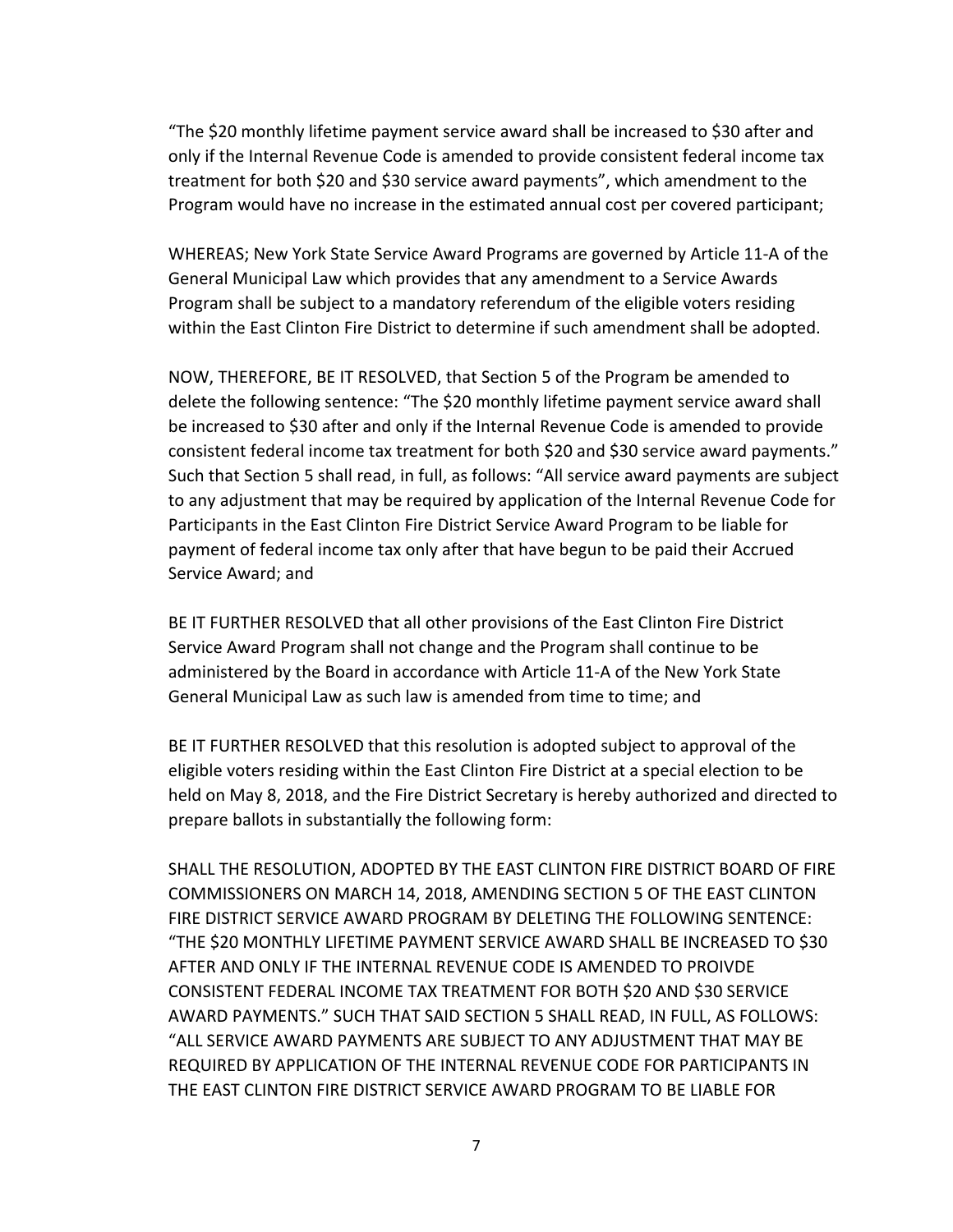"The \$20 monthly lifetime payment service award shall be increased to \$30 after and only if the Internal Revenue Code is amended to provide consistent federal income tax treatment for both \$20 and \$30 service award payments", which amendment to the Program would have no increase in the estimated annual cost per covered participant;

WHEREAS; New York State Service Award Programs are governed by Article 11-A of the General Municipal Law which provides that any amendment to a Service Awards Program shall be subject to a mandatory referendum of the eligible voters residing within the East Clinton Fire District to determine if such amendment shall be adopted.

NOW, THEREFORE, BE IT RESOLVED, that Section 5 of the Program be amended to delete the following sentence: "The \$20 monthly lifetime payment service award shall be increased to \$30 after and only if the Internal Revenue Code is amended to provide consistent federal income tax treatment for both \$20 and \$30 service award payments." Such that Section 5 shall read, in full, as follows: "All service award payments are subject to any adjustment that may be required by application of the Internal Revenue Code for Participants in the East Clinton Fire District Service Award Program to be liable for payment of federal income tax only after that have begun to be paid their Accrued Service Award; and

BE IT FURTHER RESOLVED that all other provisions of the East Clinton Fire District Service Award Program shall not change and the Program shall continue to be administered by the Board in accordance with Article 11-A of the New York State General Municipal Law as such law is amended from time to time; and

BE IT FURTHER RESOLVED that this resolution is adopted subject to approval of the eligible voters residing within the East Clinton Fire District at a special election to be held on May 8, 2018, and the Fire District Secretary is hereby authorized and directed to prepare ballots in substantially the following form:

SHALL THE RESOLUTION, ADOPTED BY THE EAST CLINTON FIRE DISTRICT BOARD OF FIRE COMMISSIONERS ON MARCH 14, 2018, AMENDING SECTION 5 OF THE EAST CLINTON FIRE DISTRICT SERVICE AWARD PROGRAM BY DELETING THE FOLLOWING SENTENCE: "THE \$20 MONTHLY LIFETIME PAYMENT SERVICE AWARD SHALL BE INCREASED TO \$30 AFTER AND ONLY IF THE INTERNAL REVENUE CODE IS AMENDED TO PROIVDE CONSISTENT FEDERAL INCOME TAX TREATMENT FOR BOTH \$20 AND \$30 SERVICE AWARD PAYMENTS." SUCH THAT SAID SECTION 5 SHALL READ, IN FULL, AS FOLLOWS: "ALL SERVICE AWARD PAYMENTS ARE SUBJECT TO ANY ADJUSTMENT THAT MAY BE REQUIRED BY APPLICATION OF THE INTERNAL REVENUE CODE FOR PARTICIPANTS IN THE EAST CLINTON FIRE DISTRICT SERVICE AWARD PROGRAM TO BE LIABLE FOR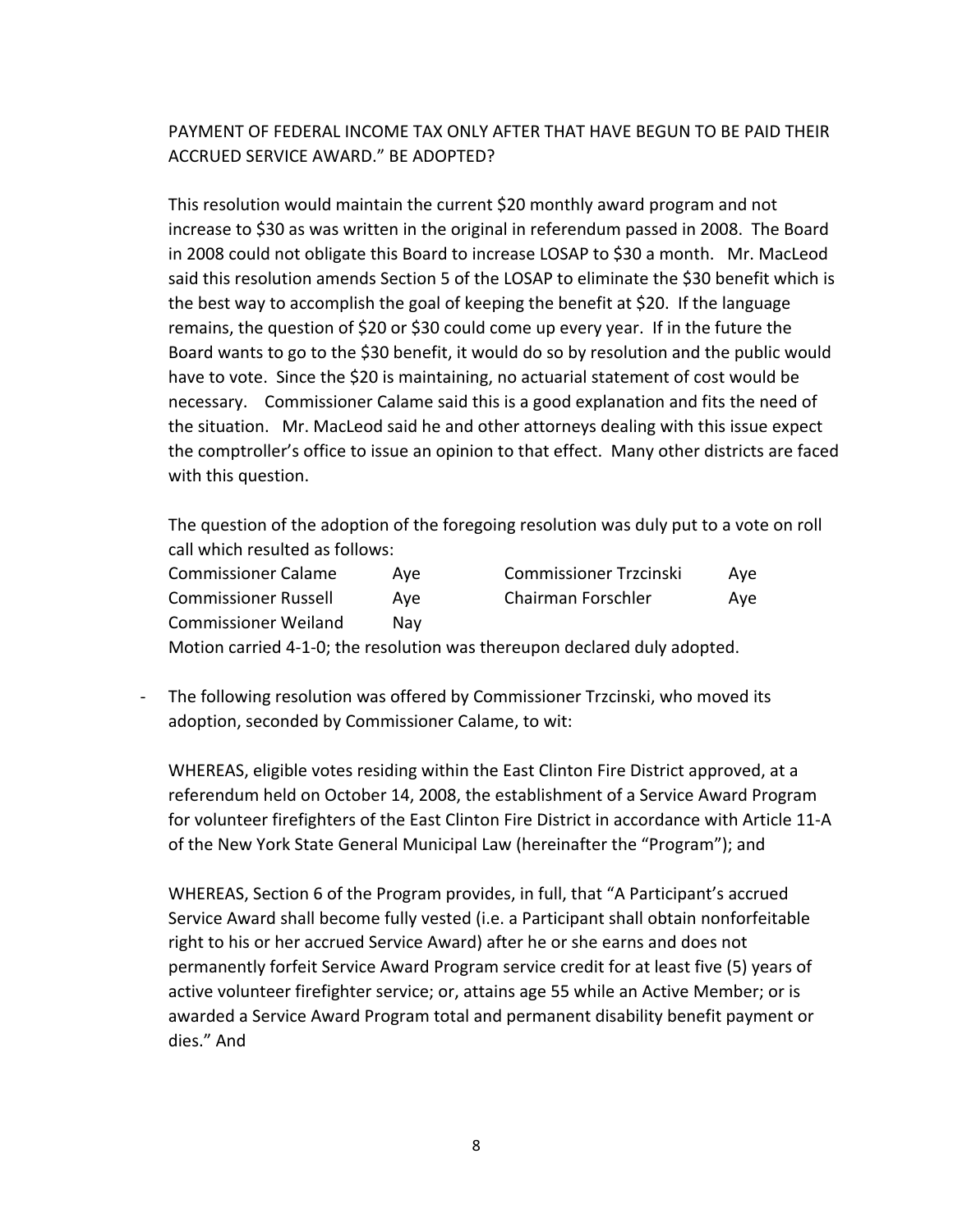PAYMENT OF FEDERAL INCOME TAX ONLY AFTER THAT HAVE BEGUN TO BE PAID THEIR ACCRUED SERVICE AWARD." BE ADOPTED?

This resolution would maintain the current \$20 monthly award program and not increase to \$30 as was written in the original in referendum passed in 2008. The Board in 2008 could not obligate this Board to increase LOSAP to \$30 a month.  $\,$  Mr. MacLeod said this resolution amends Section 5 of the LOSAP to eliminate the \$30 benefit which is the best way to accomplish the goal of keeping the benefit at \$20. If the language remains, the question of \$20 or \$30 could come up every year. If in the future the Board wants to go to the \$30 benefit, it would do so by resolution and the public would have to vote. Since the \$20 is maintaining, no actuarial statement of cost would be necessary. Commissioner Calame said this is a good explanation and fits the need of the situation. Mr. MacLeod said he and other attorneys dealing with this issue expect the comptroller's office to issue an opinion to that effect. Many other districts are faced with this question.

The question of the adoption of the foregoing resolution was duly put to a vote on roll call which resulted as follows:

| <b>Commissioner Calame</b>  | Ave | <b>Commissioner Trzcinski</b>                                             | Aye |
|-----------------------------|-----|---------------------------------------------------------------------------|-----|
| <b>Commissioner Russell</b> | Ave | Chairman Forschler                                                        | Aye |
| <b>Commissioner Weiland</b> | Nav |                                                                           |     |
|                             |     | Motion carried 4-1-0; the resolution was thereupon declared duly adopted. |     |

The following resolution was offered by Commissioner Trzcinski, who moved its adoption, seconded by Commissioner Calame, to wit:

WHEREAS, eligible votes residing within the East Clinton Fire District approved, at a referendum held on October 14, 2008, the establishment of a Service Award Program for volunteer firefighters of the East Clinton Fire District in accordance with Article 11-A of the New York State General Municipal Law (hereinafter the "Program"); and

WHEREAS, Section 6 of the Program provides, in full, that "A Participant's accrued Service Award shall become fully vested (i.e. a Participant shall obtain nonforfeitable right to his or her accrued Service Award) after he or she earns and does not permanently forfeit Service Award Program service credit for at least five (5) years of active volunteer firefighter service; or, attains age 55 while an Active Member; or is awarded a Service Award Program total and permanent disability benefit payment or dies." And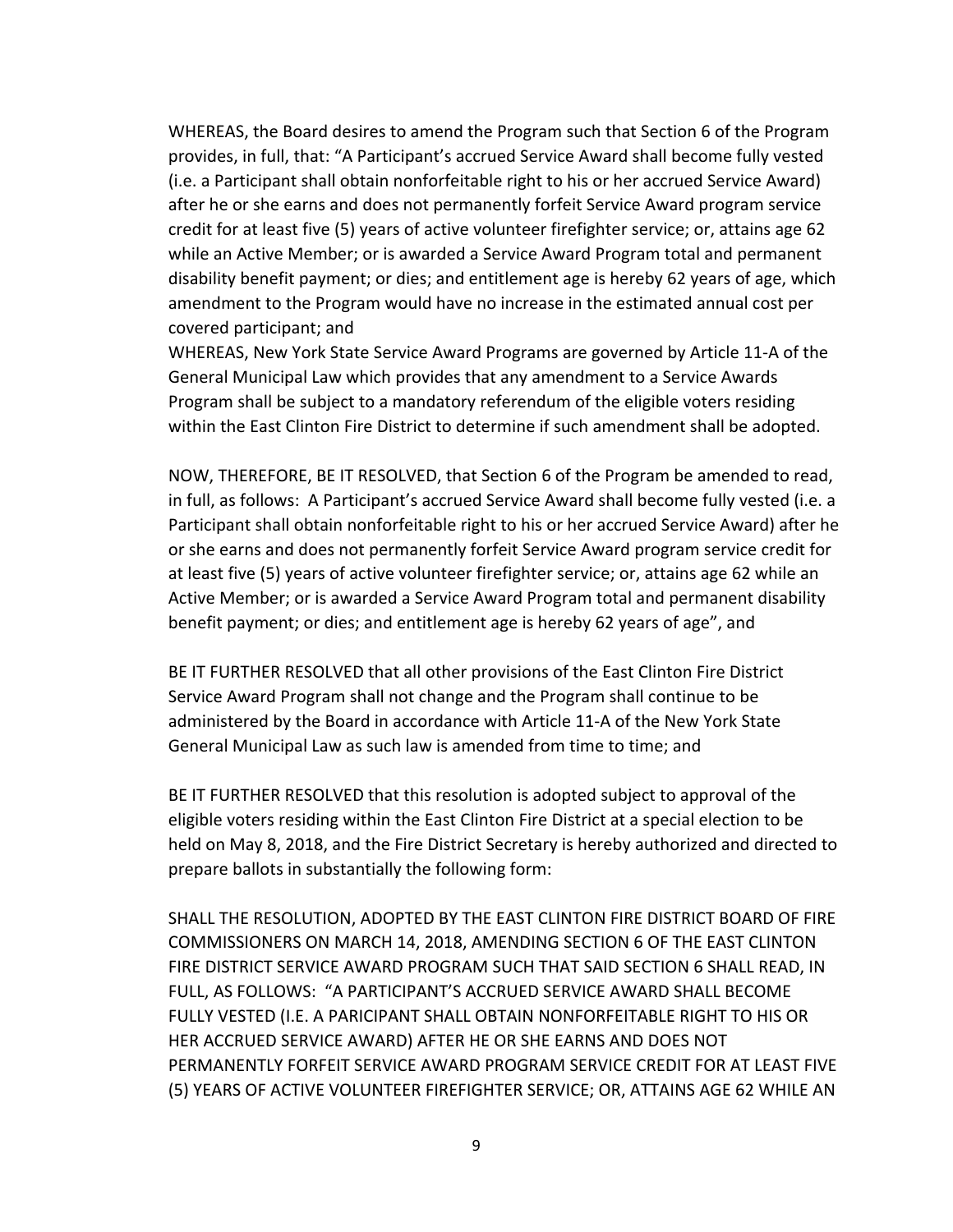WHEREAS, the Board desires to amend the Program such that Section 6 of the Program provides, in full, that: "A Participant's accrued Service Award shall become fully vested (i.e. a Participant shall obtain nonforfeitable right to his or her accrued Service Award) after he or she earns and does not permanently forfeit Service Award program service credit for at least five (5) years of active volunteer firefighter service; or, attains age 62 while an Active Member; or is awarded a Service Award Program total and permanent disability benefit payment; or dies; and entitlement age is hereby 62 years of age, which amendment to the Program would have no increase in the estimated annual cost per covered participant; and

WHEREAS, New York State Service Award Programs are governed by Article 11-A of the General Municipal Law which provides that any amendment to a Service Awards Program shall be subject to a mandatory referendum of the eligible voters residing within the East Clinton Fire District to determine if such amendment shall be adopted.

NOW, THEREFORE, BE IT RESOLVED, that Section 6 of the Program be amended to read, in full, as follows: A Participant's accrued Service Award shall become fully vested (i.e. a Participant shall obtain nonforfeitable right to his or her accrued Service Award) after he or she earns and does not permanently forfeit Service Award program service credit for at least five (5) years of active volunteer firefighter service; or, attains age 62 while an Active Member; or is awarded a Service Award Program total and permanent disability benefit payment; or dies; and entitlement age is hereby 62 years of age", and

BE IT FURTHER RESOLVED that all other provisions of the East Clinton Fire District Service Award Program shall not change and the Program shall continue to be administered by the Board in accordance with Article 11-A of the New York State General Municipal Law as such law is amended from time to time; and

BE IT FURTHER RESOLVED that this resolution is adopted subject to approval of the eligible voters residing within the East Clinton Fire District at a special election to be held on May 8, 2018, and the Fire District Secretary is hereby authorized and directed to prepare ballots in substantially the following form:

SHALL THE RESOLUTION, ADOPTED BY THE EAST CLINTON FIRE DISTRICT BOARD OF FIRE COMMISSIONERS ON MARCH 14, 2018, AMENDING SECTION 6 OF THE EAST CLINTON FIRE DISTRICT SERVICE AWARD PROGRAM SUCH THAT SAID SECTION 6 SHALL READ, IN FULL, AS FOLLOWS: "A PARTICIPANT'S ACCRUED SERVICE AWARD SHALL BECOME FULLY VESTED (I.E. A PARICIPANT SHALL OBTAIN NONFORFEITABLE RIGHT TO HIS OR HER ACCRUED SERVICE AWARD) AFTER HE OR SHE EARNS AND DOES NOT PERMANENTLY FORFEIT SERVICE AWARD PROGRAM SERVICE CREDIT FOR AT LEAST FIVE (5) YEARS OF ACTIVE VOLUNTEER FIREFIGHTER SERVICE; OR, ATTAINS AGE 62 WHILE AN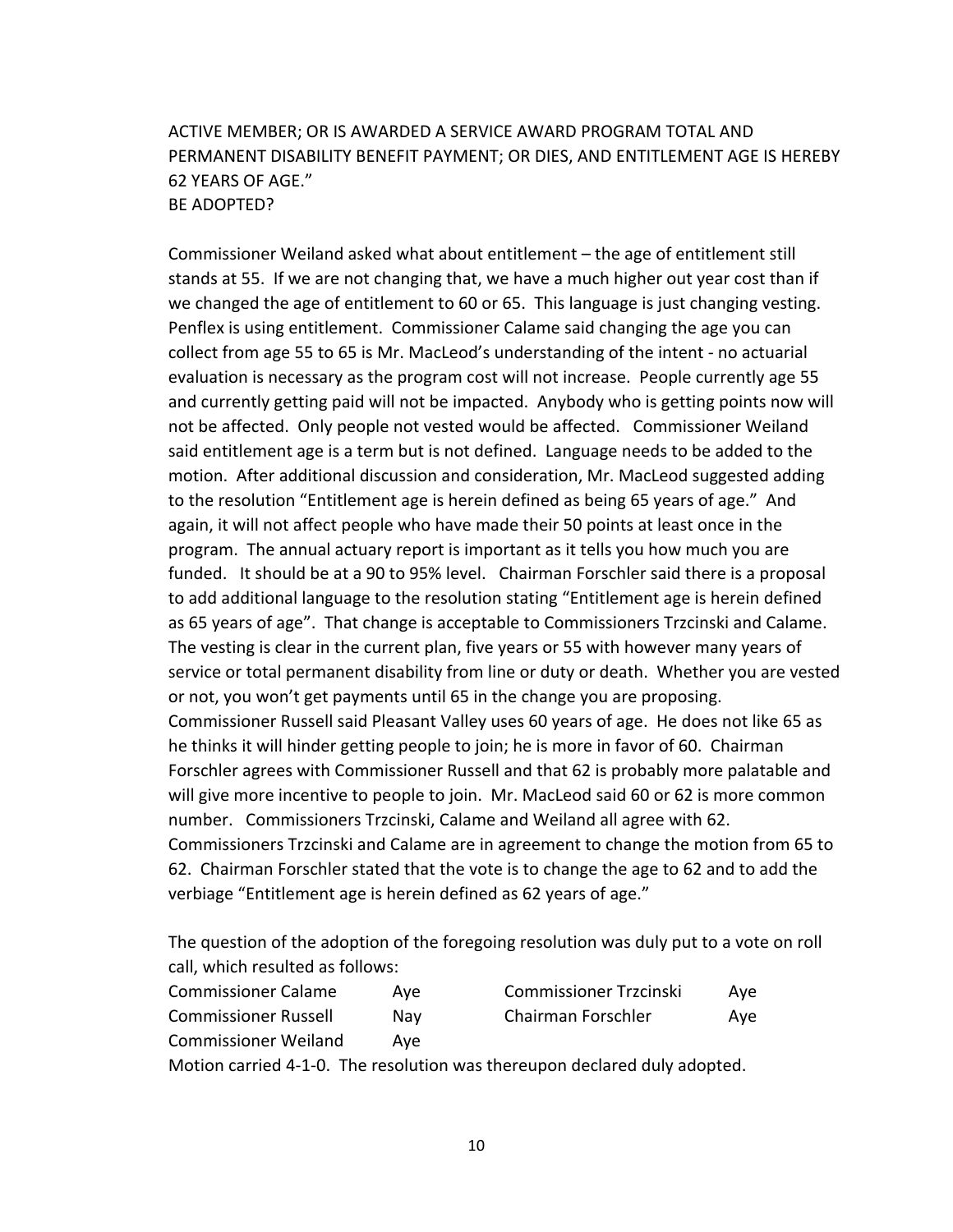### ACTIVE MEMBER; OR IS AWARDED A SERVICE AWARD PROGRAM TOTAL AND PERMANENT DISABILITY BENEFIT PAYMENT; OR DIES, AND ENTITLEMENT AGE IS HEREBY 62 YEARS OF AGE." BE ADOPTED?

Commissioner Weiland asked what about entitlement – the age of entitlement still stands at 55. If we are not changing that, we have a much higher out year cost than if we changed the age of entitlement to 60 or 65. This language is just changing vesting. Penflex is using entitlement. Commissioner Calame said changing the age you can collect from age 55 to 65 is Mr. MacLeod's understanding of the intent - no actuarial evaluation is necessary as the program cost will not increase. People currently age 55 and currently getting paid will not be impacted. Anybody who is getting points now will not be affected. Only people not vested would be affected. Commissioner Weiland said entitlement age is a term but is not defined. Language needs to be added to the motion. After additional discussion and consideration, Mr. MacLeod suggested adding to the resolution "Entitlement age is herein defined as being 65 years of age." And again, it will not affect people who have made their 50 points at least once in the program. The annual actuary report is important as it tells you how much you are funded. It should be at a 90 to 95% level. Chairman Forschler said there is a proposal to add additional language to the resolution stating "Entitlement age is herein defined as 65 years of age". That change is acceptable to Commissioners Trzcinski and Calame. The vesting is clear in the current plan, five years or 55 with however many years of service or total permanent disability from line or duty or death. Whether you are vested or not, you won't get payments until 65 in the change you are proposing. Commissioner Russell said Pleasant Valley uses 60 years of age. He does not like 65 as he thinks it will hinder getting people to join; he is more in favor of 60. Chairman Forschler agrees with Commissioner Russell and that 62 is probably more palatable and will give more incentive to people to join. Mr. MacLeod said 60 or 62 is more common number. Commissioners Trzcinski, Calame and Weiland all agree with 62. Commissioners Trzcinski and Calame are in agreement to change the motion from 65 to 62. Chairman Forschler stated that the vote is to change the age to 62 and to add the verbiage "Entitlement age is herein defined as 62 years of age."

The question of the adoption of the foregoing resolution was duly put to a vote on roll call, which resulted as follows:

| <b>Commissioner Calame</b>  | Ave | <b>Commissioner Trzcinski</b>                                            | Ave |
|-----------------------------|-----|--------------------------------------------------------------------------|-----|
| <b>Commissioner Russell</b> | Nav | Chairman Forschler                                                       | Ave |
| <b>Commissioner Weiland</b> | Ave |                                                                          |     |
|                             |     | Motion sarried A 1 0. The resolution was thereupen declared duly adopted |     |

Motion carried 4-1-0. The resolution was thereupon declared duly adopted.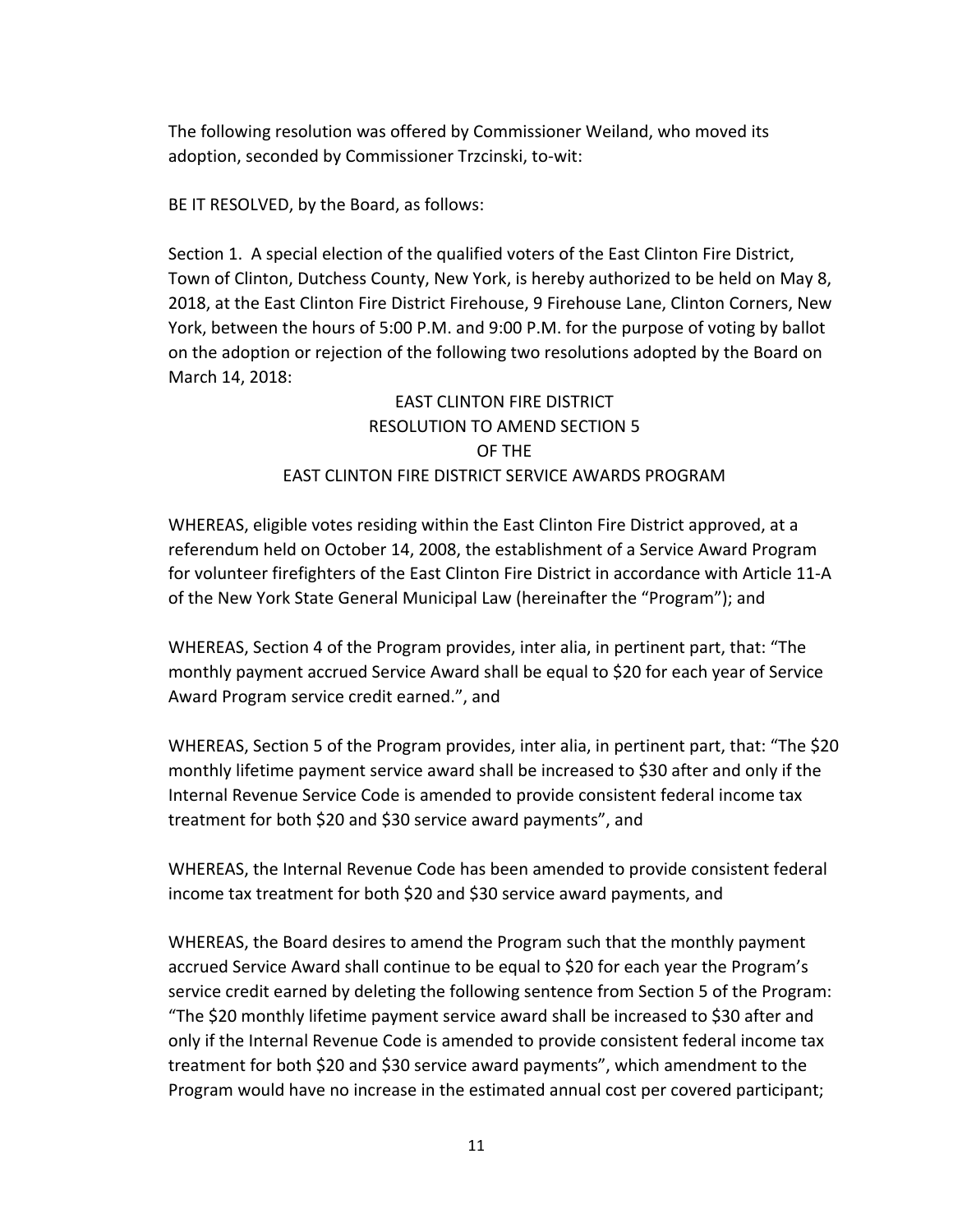The following resolution was offered by Commissioner Weiland, who moved its adoption, seconded by Commissioner Trzcinski, to-wit:

BE IT RESOLVED, by the Board, as follows:

Section 1. A special election of the qualified voters of the East Clinton Fire District, Town of Clinton, Dutchess County, New York, is hereby authorized to be held on May 8, 2018, at the East Clinton Fire District Firehouse, 9 Firehouse Lane, Clinton Corners, New York, between the hours of 5:00 P.M. and 9:00 P.M. for the purpose of voting by ballot on the adoption or rejection of the following two resolutions adopted by the Board on March 14, 2018:

# EAST CLINTON FIRE DISTRICT RESOLUTION TO AMEND SECTION 5 OF THE EAST CLINTON FIRE DISTRICT SERVICE AWARDS PROGRAM

WHEREAS, eligible votes residing within the East Clinton Fire District approved, at a referendum held on October 14, 2008, the establishment of a Service Award Program for volunteer firefighters of the East Clinton Fire District in accordance with Article 11-A of the New York State General Municipal Law (hereinafter the "Program"); and

WHEREAS, Section 4 of the Program provides, inter alia, in pertinent part, that: "The monthly payment accrued Service Award shall be equal to \$20 for each year of Service Award Program service credit earned.", and

WHEREAS, Section 5 of the Program provides, inter alia, in pertinent part, that: "The \$20 monthly lifetime payment service award shall be increased to \$30 after and only if the Internal Revenue Service Code is amended to provide consistent federal income tax treatment for both \$20 and \$30 service award payments", and

WHEREAS, the Internal Revenue Code has been amended to provide consistent federal income tax treatment for both \$20 and \$30 service award payments, and

WHEREAS, the Board desires to amend the Program such that the monthly payment accrued Service Award shall continue to be equal to \$20 for each year the Program's service credit earned by deleting the following sentence from Section 5 of the Program: "The \$20 monthly lifetime payment service award shall be increased to \$30 after and only if the Internal Revenue Code is amended to provide consistent federal income tax treatment for both \$20 and \$30 service award payments", which amendment to the Program would have no increase in the estimated annual cost per covered participant;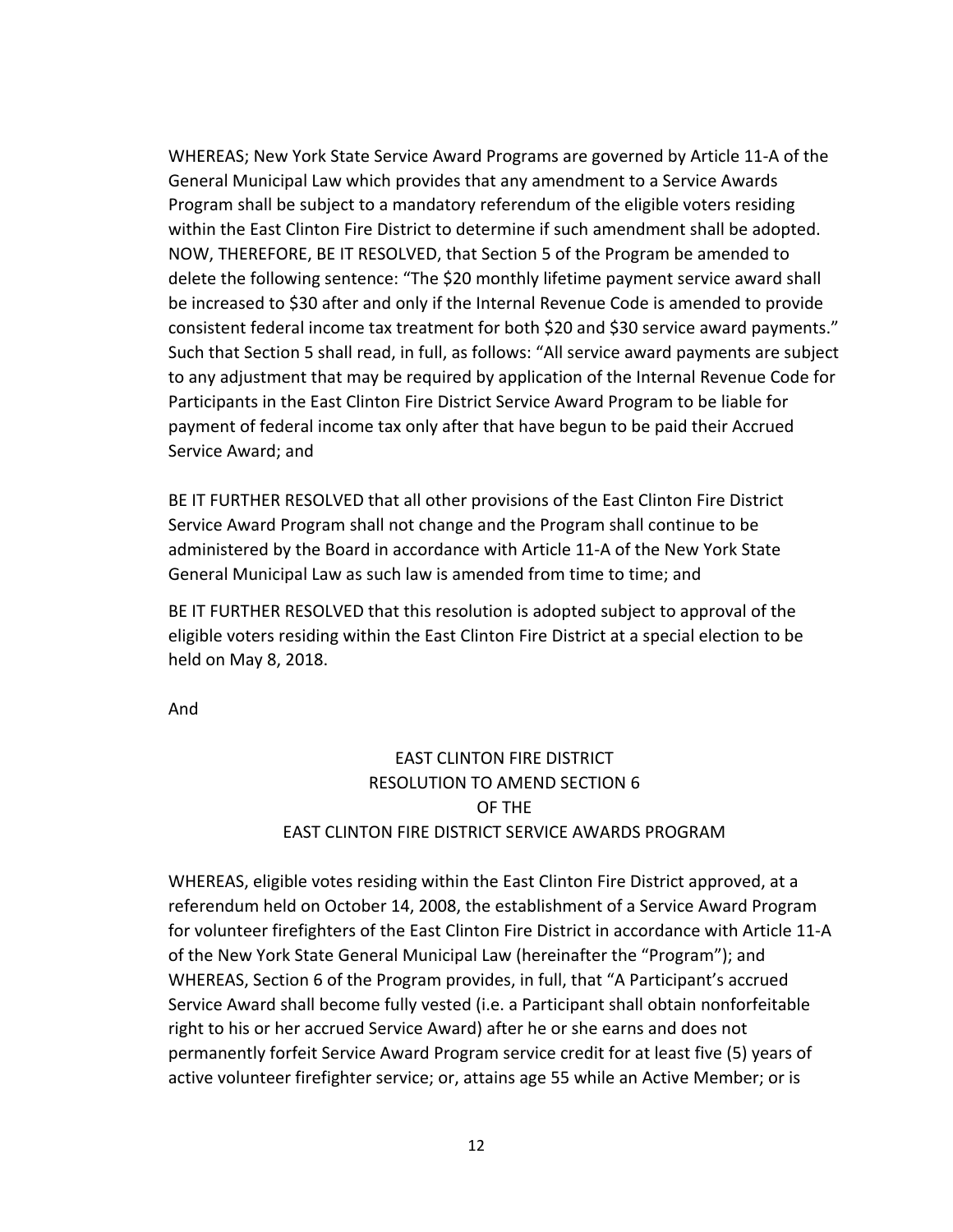WHEREAS; New York State Service Award Programs are governed by Article 11-A of the General Municipal Law which provides that any amendment to a Service Awards Program shall be subject to a mandatory referendum of the eligible voters residing within the East Clinton Fire District to determine if such amendment shall be adopted. NOW, THEREFORE, BE IT RESOLVED, that Section 5 of the Program be amended to delete the following sentence: "The \$20 monthly lifetime payment service award shall be increased to \$30 after and only if the Internal Revenue Code is amended to provide consistent federal income tax treatment for both \$20 and \$30 service award payments." Such that Section 5 shall read, in full, as follows: "All service award payments are subject to any adjustment that may be required by application of the Internal Revenue Code for Participants in the East Clinton Fire District Service Award Program to be liable for payment of federal income tax only after that have begun to be paid their Accrued Service Award; and

BE IT FURTHER RESOLVED that all other provisions of the East Clinton Fire District Service Award Program shall not change and the Program shall continue to be administered by the Board in accordance with Article 11-A of the New York State General Municipal Law as such law is amended from time to time; and

BE IT FURTHER RESOLVED that this resolution is adopted subject to approval of the eligible voters residing within the East Clinton Fire District at a special election to be held on May 8, 2018.

And

# **EAST CLINTON FIRE DISTRICT** RESOLUTION TO AMEND SECTION 6 OF THE EAST CLINTON FIRE DISTRICT SERVICE AWARDS PROGRAM

WHEREAS, eligible votes residing within the East Clinton Fire District approved, at a referendum held on October 14, 2008, the establishment of a Service Award Program for volunteer firefighters of the East Clinton Fire District in accordance with Article 11-A of the New York State General Municipal Law (hereinafter the "Program"); and WHEREAS, Section 6 of the Program provides, in full, that "A Participant's accrued Service Award shall become fully vested (i.e. a Participant shall obtain nonforfeitable right to his or her accrued Service Award) after he or she earns and does not permanently forfeit Service Award Program service credit for at least five (5) years of active volunteer firefighter service; or, attains age 55 while an Active Member; or is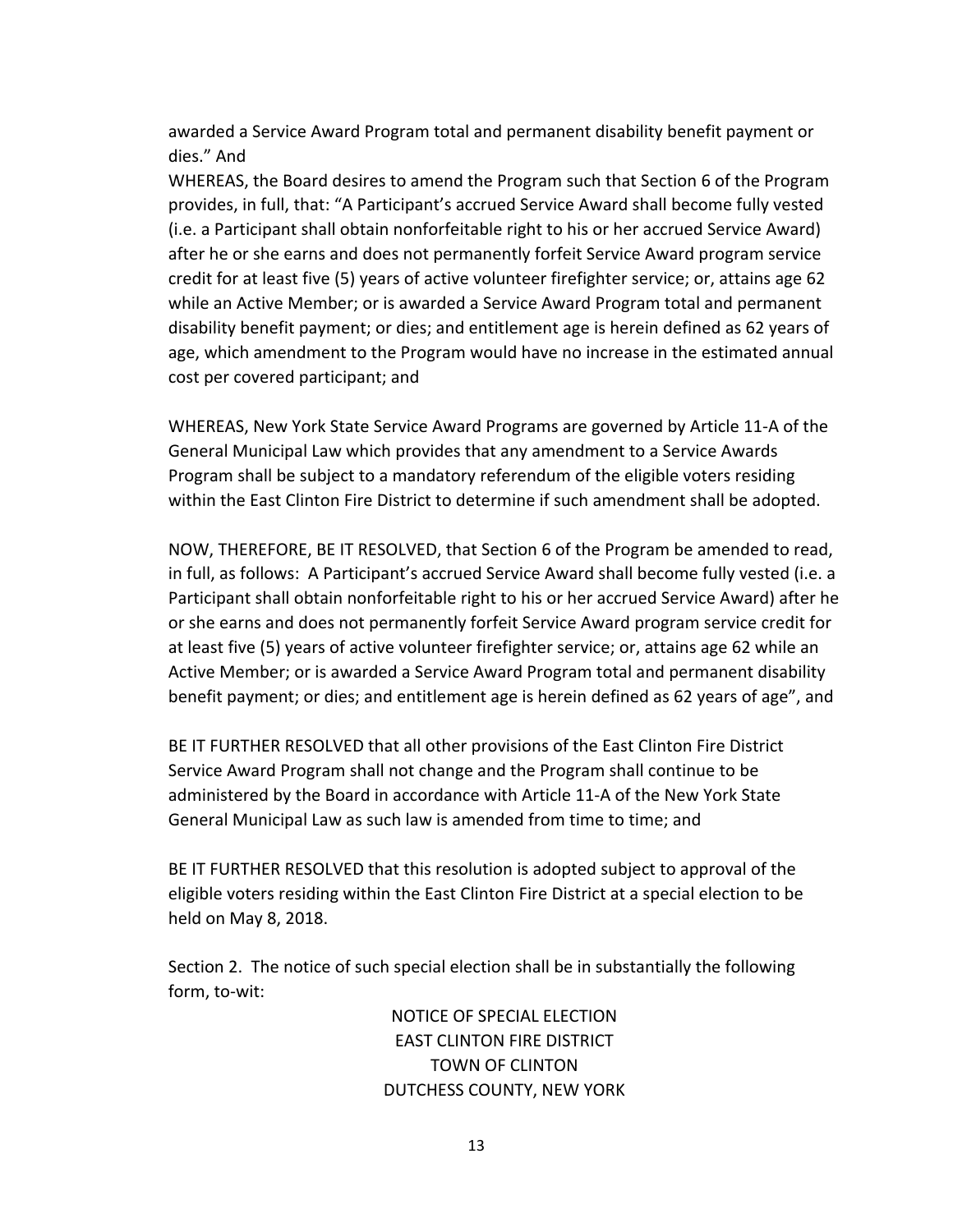awarded a Service Award Program total and permanent disability benefit payment or dies." And

WHEREAS, the Board desires to amend the Program such that Section 6 of the Program provides, in full, that: "A Participant's accrued Service Award shall become fully vested (i.e. a Participant shall obtain nonforfeitable right to his or her accrued Service Award) after he or she earns and does not permanently forfeit Service Award program service credit for at least five (5) years of active volunteer firefighter service; or, attains age 62 while an Active Member; or is awarded a Service Award Program total and permanent disability benefit payment; or dies; and entitlement age is herein defined as 62 years of age, which amendment to the Program would have no increase in the estimated annual cost per covered participant; and

WHEREAS, New York State Service Award Programs are governed by Article 11-A of the General Municipal Law which provides that any amendment to a Service Awards Program shall be subject to a mandatory referendum of the eligible voters residing within the East Clinton Fire District to determine if such amendment shall be adopted.

NOW, THEREFORE, BE IT RESOLVED, that Section 6 of the Program be amended to read, in full, as follows: A Participant's accrued Service Award shall become fully vested (i.e. a Participant shall obtain nonforfeitable right to his or her accrued Service Award) after he or she earns and does not permanently forfeit Service Award program service credit for at least five (5) years of active volunteer firefighter service; or, attains age 62 while an Active Member; or is awarded a Service Award Program total and permanent disability benefit payment; or dies; and entitlement age is herein defined as 62 years of age", and

BE IT FURTHER RESOLVED that all other provisions of the East Clinton Fire District Service Award Program shall not change and the Program shall continue to be administered by the Board in accordance with Article 11-A of the New York State General Municipal Law as such law is amended from time to time; and

BE IT FURTHER RESOLVED that this resolution is adopted subject to approval of the eligible voters residing within the East Clinton Fire District at a special election to be held on May 8, 2018.

Section 2. The notice of such special election shall be in substantially the following form, to-wit:

> NOTICE OF SPECIAL ELECTION EAST CLINTON FIRE DISTRICT TOWN OF CLINTON DUTCHESS COUNTY, NEW YORK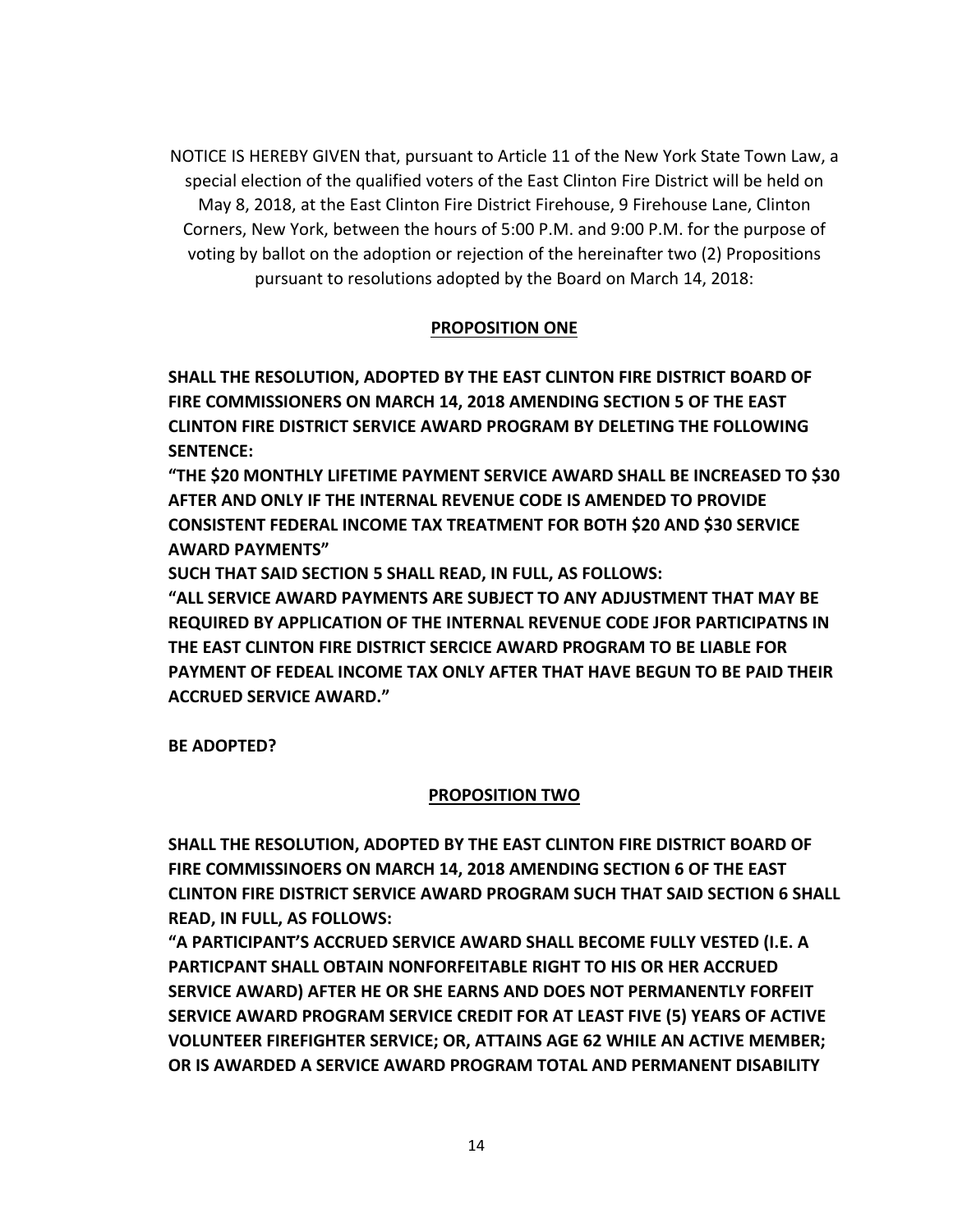NOTICE IS HEREBY GIVEN that, pursuant to Article 11 of the New York State Town Law, a special election of the qualified voters of the East Clinton Fire District will be held on May 8, 2018, at the East Clinton Fire District Firehouse, 9 Firehouse Lane, Clinton Corners, New York, between the hours of 5:00 P.M. and 9:00 P.M. for the purpose of voting by ballot on the adoption or rejection of the hereinafter two (2) Propositions pursuant to resolutions adopted by the Board on March 14, 2018:

#### **PROPOSITION ONE**

**SHALL THE RESOLUTION, ADOPTED BY THE EAST CLINTON FIRE DISTRICT BOARD OF FIRE COMMISSIONERS ON MARCH 14, 2018 AMENDING SECTION 5 OF THE EAST CLINTON FIRE DISTRICT SERVICE AWARD PROGRAM BY DELETING THE FOLLOWING** SENTENCE:

**"THE \$20 MONTHLY LIFETIME PAYMENT SERVICE AWARD SHALL BE INCREASED TO \$30 AFTER AND ONLY IF THE INTERNAL REVENUE CODE IS AMENDED TO PROVIDE CONSISTENT FEDERAL INCOME TAX TREATMENT FOR BOTH \$20 AND \$30 SERVICE AWARD PAYMENTS"** 

SUCH THAT SAID SECTION 5 SHALL READ, IN FULL, AS FOLLOWS:

**"ALL SERVICE AWARD PAYMENTS ARE SUBJECT TO ANY ADJUSTMENT THAT MAY BE REQUIRED BY APPLICATION OF THE INTERNAL REVENUE CODE JFOR PARTICIPATNS IN THE EAST CLINTON FIRE DISTRICT SERCICE AWARD PROGRAM TO BE LIABLE FOR PAYMENT OF FEDEAL INCOME TAX ONLY AFTER THAT HAVE BEGUN TO BE PAID THEIR ACCRUED SERVICE AWARD."**

**BE ADOPTED?**

#### **PROPOSITION TWO**

**SHALL THE RESOLUTION, ADOPTED BY THE EAST CLINTON FIRE DISTRICT BOARD OF FIRE COMMISSINOERS ON MARCH 14, 2018 AMENDING SECTION 6 OF THE EAST CLINTON FIRE DISTRICT SERVICE AWARD PROGRAM SUCH THAT SAID SECTION 6 SHALL READ, IN FULL, AS FOLLOWS:** 

**"A PARTICIPANT'S ACCRUED SERVICE AWARD SHALL BECOME FULLY VESTED (I.E. A PARTICPANT SHALL OBTAIN NONFORFEITABLE RIGHT TO HIS OR HER ACCRUED SERVICE AWARD) AFTER HE OR SHE EARNS AND DOES NOT PERMANENTLY FORFEIT SERVICE AWARD PROGRAM SERVICE CREDIT FOR AT LEAST FIVE (5) YEARS OF ACTIVE VOLUNTEER FIREFIGHTER SERVICE; OR, ATTAINS AGE 62 WHILE AN ACTIVE MEMBER; OR IS AWARDED A SERVICE AWARD PROGRAM TOTAL AND PERMANENT DISABILITY**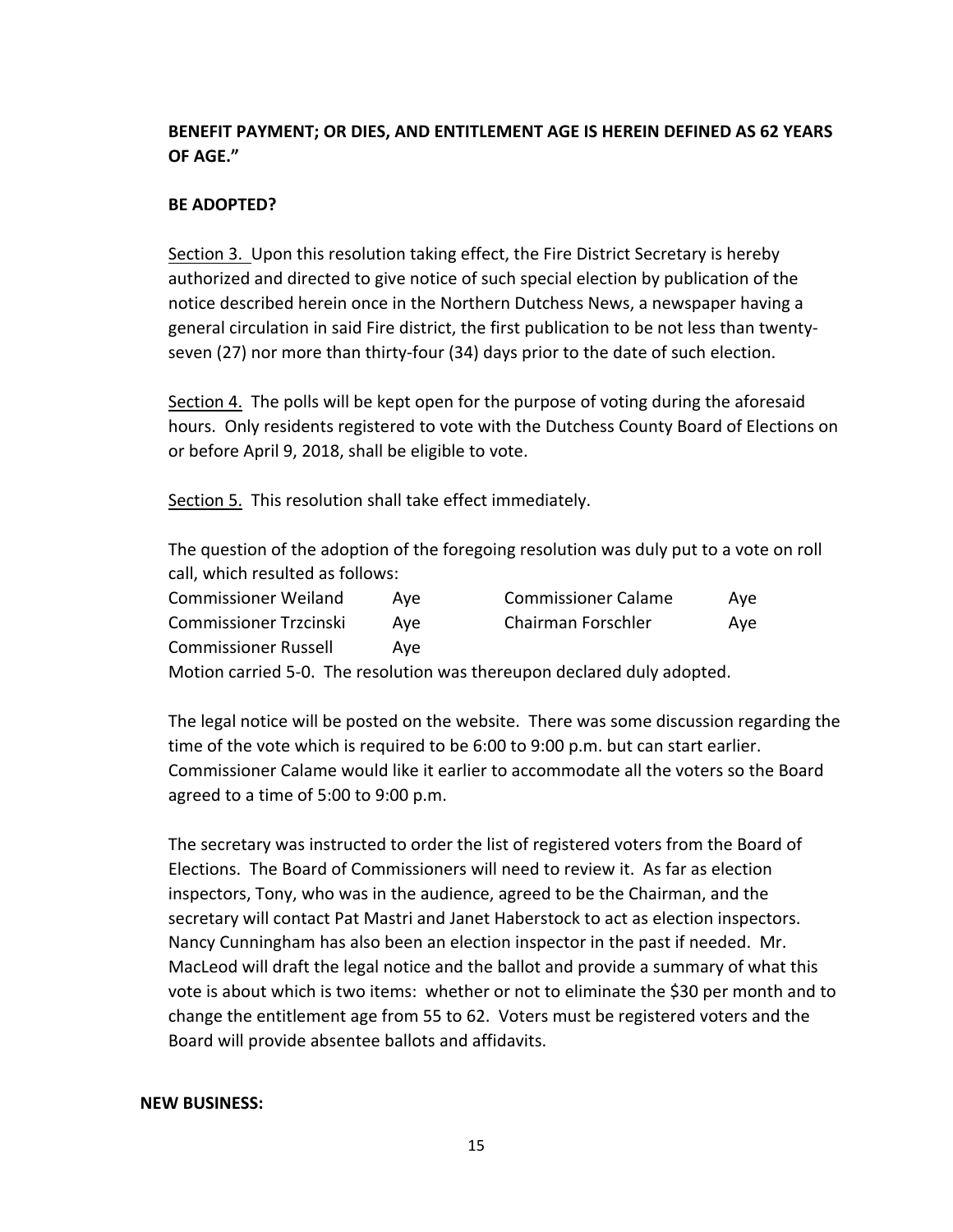# **BENEFIT PAYMENT; OR DIES, AND ENTITLEMENT AGE IS HEREIN DEFINED AS 62 YEARS OF AGE."**

### **BE ADOPTED?**

Section 3. Upon this resolution taking effect, the Fire District Secretary is hereby authorized and directed to give notice of such special election by publication of the notice described herein once in the Northern Dutchess News, a newspaper having a general circulation in said Fire district, the first publication to be not less than twentyseven  $(27)$  nor more than thirty-four  $(34)$  days prior to the date of such election.

Section 4. The polls will be kept open for the purpose of voting during the aforesaid hours. Only residents registered to vote with the Dutchess County Board of Elections on or before April 9, 2018, shall be eligible to vote.

Section 5. This resolution shall take effect immediately.

The question of the adoption of the foregoing resolution was duly put to a vote on roll call, which resulted as follows:

| <b>Commissioner Weiland</b>   | Ave | <b>Commissioner Calame</b> | Ave |
|-------------------------------|-----|----------------------------|-----|
| <b>Commissioner Trzcinski</b> | Ave | Chairman Forschler         | Ave |
| <b>Commissioner Russell</b>   | Ave |                            |     |
|                               |     |                            |     |

Motion carried 5-0. The resolution was thereupon declared duly adopted.

The legal notice will be posted on the website. There was some discussion regarding the time of the vote which is required to be  $6:00$  to  $9:00$  p.m. but can start earlier. Commissioner Calame would like it earlier to accommodate all the voters so the Board agreed to a time of 5:00 to 9:00 p.m.

The secretary was instructed to order the list of registered voters from the Board of Elections. The Board of Commissioners will need to review it. As far as election inspectors, Tony, who was in the audience, agreed to be the Chairman, and the secretary will contact Pat Mastri and Janet Haberstock to act as election inspectors. Nancy Cunningham has also been an election inspector in the past if needed. Mr. MacLeod will draft the legal notice and the ballot and provide a summary of what this vote is about which is two items: whether or not to eliminate the \$30 per month and to change the entitlement age from 55 to 62. Voters must be registered voters and the Board will provide absentee ballots and affidavits.

#### **NEW BUSINESS:**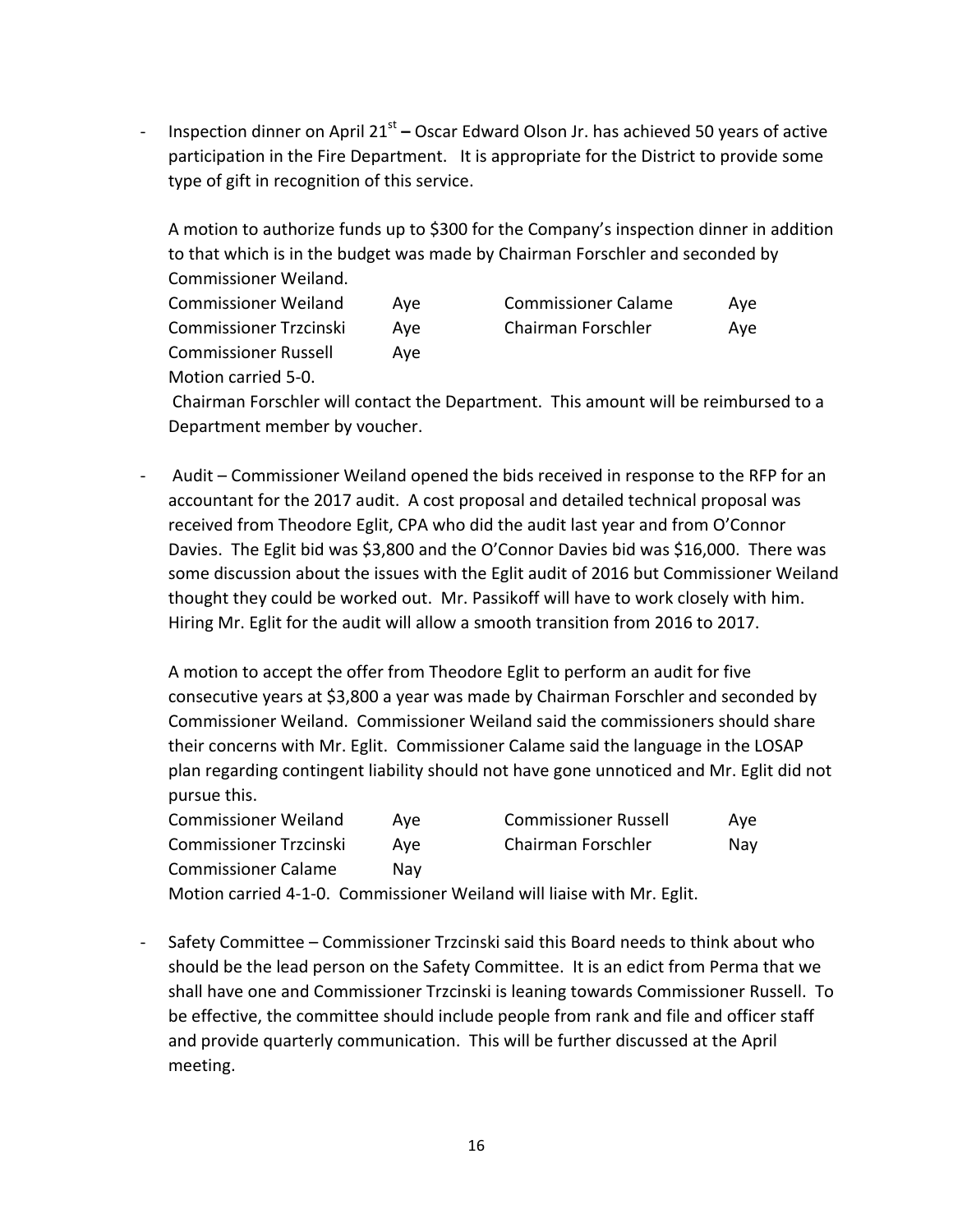Inspection dinner on April 21<sup>st</sup> – Oscar Edward Olson Jr. has achieved 50 years of active participation in the Fire Department. It is appropriate for the District to provide some type of gift in recognition of this service.

A motion to authorize funds up to \$300 for the Company's inspection dinner in addition to that which is in the budget was made by Chairman Forschler and seconded by Commissioner Weiland.

| <b>Commissioner Weiland</b>                        | Ave | <b>Commissioner Calame</b> | Ave |
|----------------------------------------------------|-----|----------------------------|-----|
| <b>Commissioner Trzcinski</b>                      | Ave | Chairman Forschler         | Ave |
| <b>Commissioner Russell</b><br>Motion carried 5-0. | Ave |                            |     |

Chairman Forschler will contact the Department. This amount will be reimbursed to a Department member by voucher.

Audit – Commissioner Weiland opened the bids received in response to the RFP for an accountant for the 2017 audit. A cost proposal and detailed technical proposal was received from Theodore Eglit, CPA who did the audit last year and from O'Connor Davies. The Eglit bid was \$3,800 and the O'Connor Davies bid was \$16,000. There was some discussion about the issues with the Eglit audit of 2016 but Commissioner Weiland thought they could be worked out. Mr. Passikoff will have to work closely with him. Hiring Mr. Eglit for the audit will allow a smooth transition from 2016 to 2017.

A motion to accept the offer from Theodore Eglit to perform an audit for five consecutive years at \$3,800 a year was made by Chairman Forschler and seconded by Commissioner Weiland. Commissioner Weiland said the commissioners should share their concerns with Mr. Eglit. Commissioner Calame said the language in the LOSAP plan regarding contingent liability should not have gone unnoticed and Mr. Eglit did not pursue this.

| <b>Commissioner Weiland</b>   | Ave | <b>Commissioner Russell</b> | Ave |
|-------------------------------|-----|-----------------------------|-----|
| <b>Commissioner Trzcinski</b> | Ave | Chairman Forschler          | Nay |
| <b>Commissioner Calame</b>    | Nav |                             |     |

Motion carried 4-1-0. Commissioner Weiland will liaise with Mr. Eglit.

- Safety Committee – Commissioner Trzcinski said this Board needs to think about who should be the lead person on the Safety Committee. It is an edict from Perma that we shall have one and Commissioner Trzcinski is leaning towards Commissioner Russell. To be effective, the committee should include people from rank and file and officer staff and provide quarterly communication. This will be further discussed at the April meeting.